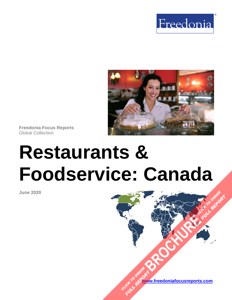



**Freedonia Focus Reports** Global Collection

# **Restaurants & Foodservice: Canada**

**June 2020**

**[www.freedoniafocusreports.com](https://www.freedoniafocusreports.com/redirect.asp?progid=89534&url=/)** CLICK TO ORDER **FULL REPORT** 

**[BROCHURE](https://www.freedoniafocusreports.com/Restaurants-Foodservice-Canada-FA95019/?progid=89541) CLICK TO ORDER** 

**FULL REPORT**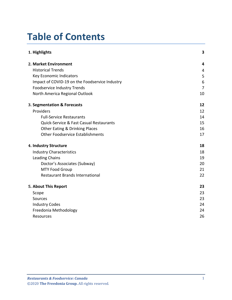# **Table of Contents**

| 1. Highlights                                  | 3              |
|------------------------------------------------|----------------|
| 2. Market Environment                          | 4              |
| <b>Historical Trends</b>                       | 4              |
| Key Economic Indicators                        | 5              |
| Impact of COVID-19 on the Foodservice Industry | 6              |
| <b>Foodservice Industry Trends</b>             | $\overline{7}$ |
| North America Regional Outlook                 | 10             |
| 3. Segmentation & Forecasts                    | 12             |
| Providers                                      | 12             |
| <b>Full-Service Restaurants</b>                | 14             |
| Quick-Service & Fast Casual Restaurants        | 15             |
| <b>Other Eating &amp; Drinking Places</b>      | 16             |
| <b>Other Foodservice Establishments</b>        | 17             |
| 4. Industry Structure                          | 18             |
| <b>Industry Characteristics</b>                | 18             |
| <b>Leading Chains</b>                          | 19             |
| Doctor's Associates (Subway)                   | 20             |
| <b>MTY Food Group</b>                          | 21             |
| <b>Restaurant Brands International</b>         | 22             |
| 5. About This Report                           | 23             |
| Scope                                          | 23             |
| Sources                                        | 23             |
| <b>Industry Codes</b>                          | 24             |
| Freedonia Methodology                          | 24             |
| <b>Resources</b>                               | 26             |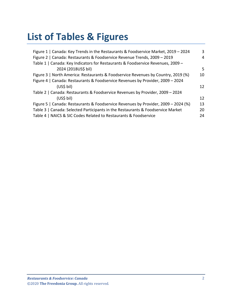# **List of Tables & Figures**

| Figure 1   Canada: Key Trends in the Restaurants & Foodservice Market, 2019 - 2024 | 3  |
|------------------------------------------------------------------------------------|----|
| Figure 2   Canada: Restaurants & Foodservice Revenue Trends, 2009 - 2019           | 4  |
| Table 1   Canada: Key Indicators for Restaurants & Foodservice Revenues, 2009 -    |    |
| 2024 (2018US\$ bil)                                                                | 5  |
| Figure 3   North America: Restaurants & Foodservice Revenues by Country, 2019 (%)  | 10 |
| Figure 4   Canada: Restaurants & Foodservice Revenues by Provider, 2009 - 2024     |    |
| $(US5)$ bil)                                                                       | 12 |
| Table 2   Canada: Restaurants & Foodservice Revenues by Provider, 2009 - 2024      |    |
| (US <sub>5</sub> bil)                                                              | 12 |
| Figure 5   Canada: Restaurants & Foodservice Revenues by Provider, 2009 - 2024 (%) | 13 |
| Table 3   Canada: Selected Participants in the Restaurants & Foodservice Market    | 20 |
| Table 4   NAICS & SIC Codes Related to Restaurants & Foodservice                   | 24 |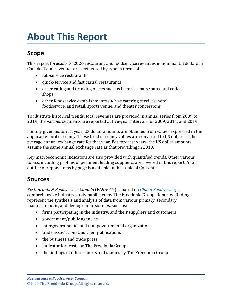# <span id="page-3-1"></span><span id="page-3-0"></span>**Scope**

This report forecasts to 2024 restaurant and foodservice revenues in nominal US dollars in Canada. Total revenues are segmented by type in terms of:

- full-service restaurants
- quick-service and fast casual restaurants
- other eating and drinking places such as bakeries, bars/pubs, and coffee shops
- other foodservice establishments such as catering services, hotel foodservice, and retail, sports venue, and theater concessions

To illustrate historical trends, total revenues are provided in annual series from 2009 to 2019; the various segments are reported at five-year intervals for 2009, 2014, and 2019.

For any given historical year, US dollar amounts are obtained from values expressed in the applicable local currency. These local currency values are converted to US dollars at the average annual exchange rate for that year. For forecast years, the US dollar amounts assume the same annual exchange rate as that prevailing in 2019.

Key macroeconomic indicators are also provided with quantified trends. Other various topics, including profiles of pertinent leading suppliers, are covered in this report. A full outline of report items by page is available in the Table of Contents.

# <span id="page-3-2"></span>**Sources**

*Restaurants & Foodservice: Canada* (FA95019) is based on *[Global Foodservice,](http://www.freedoniagroup.com/DocumentDetails.aspx?ReferrerId=FL-FOCUS&studyid=3817)* a comprehensive industry study published by The Freedonia Group. Reported findings represent the synthesis and analysis of data from various primary, secondary, macroeconomic, and demographic sources, such as:

- firms participating in the industry, and their suppliers and customers
- government/public agencies
- intergovernmental and non-governmental organizations
- trade associations and their publications
- the business and trade press
- indicator forecasts by The Freedonia Group
- the findings of other reports and studies by The Freedonia Group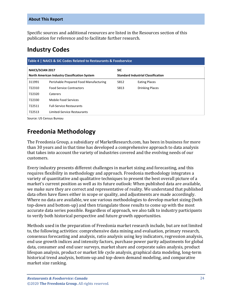Specific sources and additional resources are listed in the Resources section of this publication for reference and to facilitate further research.

### <span id="page-4-0"></span>**Industry Codes**

<span id="page-4-2"></span>

| Table 4   NAICS & SIC Codes Related to Restaurants & Foodservice |                                                      |            |                                           |  |  |  |
|------------------------------------------------------------------|------------------------------------------------------|------------|-------------------------------------------|--|--|--|
| <b>NAICS/SCIAN 2017</b>                                          | <b>North American Industry Classification System</b> | <b>SIC</b> | <b>Standard Industrial Classification</b> |  |  |  |
|                                                                  |                                                      |            |                                           |  |  |  |
| 311991                                                           | Perishable Prepared Food Manufacturing               | 5812       | <b>Eating Places</b>                      |  |  |  |
| 722310                                                           | <b>Food Service Contractors</b>                      | 5813       | <b>Drinking Places</b>                    |  |  |  |
| 722320                                                           | Caterers                                             |            |                                           |  |  |  |
| 722330                                                           | Mobile Food Services                                 |            |                                           |  |  |  |
| 722511                                                           | <b>Full-Service Restaurants</b>                      |            |                                           |  |  |  |
| 722513                                                           | Limited-Service Restaurants                          |            |                                           |  |  |  |

Source: US Census Bureau

## <span id="page-4-1"></span>**Freedonia Methodology**

The Freedonia Group, a subsidiary of MarketResearch.com, has been in business for more than 30 years and in that time has developed a comprehensive approach to data analysis that takes into account the variety of industries covered and the evolving needs of our customers.

Every industry presents different challenges in market sizing and forecasting, and this requires flexibility in methodology and approach. Freedonia methodology integrates a variety of quantitative and qualitative techniques to present the best overall picture of a market's current position as well as its future outlook: When published data are available, we make sure they are correct and representative of reality. We understand that published data often have flaws either in scope or quality, and adjustments are made accordingly. Where no data are available, we use various methodologies to develop market sizing (both top-down and bottom-up) and then triangulate those results to come up with the most accurate data series possible. Regardless of approach, we also talk to industry participants to verify both historical perspective and future growth opportunities.

Methods used in the preparation of Freedonia market research include, but are not limited to, the following activities: comprehensive data mining and evaluation, primary research, consensus forecasting and analysis, ratio analysis using key indicators, regression analysis, end use growth indices and intensity factors, purchase power parity adjustments for global data, consumer and end user surveys, market share and corporate sales analysis, product lifespan analysis, product or market life cycle analysis, graphical data modeling, long-term historical trend analysis, bottom-up and top-down demand modeling, and comparative market size ranking.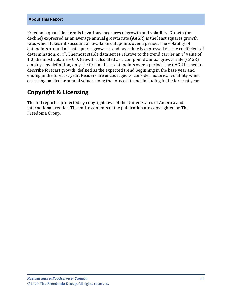Freedonia quantifies trends in various measures of growth and volatility. Growth (or decline) expressed as an average annual growth rate (AAGR) is the least squares growth rate, which takes into account all available datapoints over a period. The volatility of datapoints around a least squares growth trend over time is expressed via the coefficient of determination, or  $r^2$ . The most stable data series relative to the trend carries an  $r^2$  value of 1.0; the most volatile – 0.0. Growth calculated as a compound annual growth rate (CAGR) employs, by definition, only the first and last datapoints over a period. The CAGR is used to describe forecast growth, defined as the expected trend beginning in the base year and ending in the forecast year. Readers are encouraged to consider historical volatility when assessing particular annual values along the forecast trend, including in the forecast year.

### **Copyright & Licensing**

The full report is protected by copyright laws of the United States of America and international treaties. The entire contents of the publication are copyrighted by The Freedonia Group.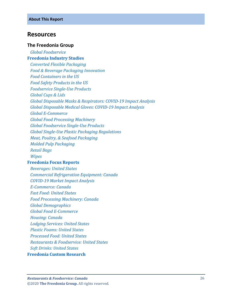### <span id="page-6-0"></span>**Resources**

#### **The Freedonia Group**

 *[Global Foodservice](http://www.freedoniagroup.com/DocumentDetails.aspx?ReferrerId=FL-FOCUS&studyid=3817)* **[Freedonia Industry Studies](http://www.freedoniagroup.com/Home.aspx?ReferrerId=FL-Focus)**  *[Converted Flexible Packaging](https://www.freedoniagroup.com/DocumentDetails.aspx?ReferrerId=FL-FOCUS&StudyID=3731) [Food & Beverage Packaging Innovation](https://www.freedoniagroup.com/DocumentDetails.aspx?ReferrerId=FL-FOCUS&StudyID=3736) [Food Containers in the US](http://www.freedoniagroup.com/DocumentDetails.aspx?ReferrerId=FL-FOCUS&studyid=3609) [Food Safety Products in the US](http://www.freedoniagroup.com/DocumentDetails.aspx?ReferrerId=FL-FOCUS&studyid=3613) [Foodservice Single-Use Products](https://www.freedoniagroup.com/DocumentDetails.aspx?ReferrerId=FL-FOCUS&StudyId=3774) [Global Cups & Lids](https://www.freedoniagroup.com/DocumentDetails.aspx?ReferrerId=FL-FOCUS&StudyID=3656) Global Disposable Masks [& Respirators: COVID-19 Impact Analysis](http://www.freedoniagroup.com/DocumentDetails.aspx?ReferrerId=FL-FOCUS&studyid=3862) [Global Disposable Medical Gloves: COVID-19 Impact Analysis](http://www.freedoniagroup.com/DocumentDetails.aspx?ReferrerId=FL-FOCUS&studyid=3861) [Global E-Commerce](http://www.freedoniagroup.com/DocumentDetails.aspx?ReferrerId=FL-FOCUS&studyid=3724) [Global Food Processing Machinery](http://www.freedoniagroup.com/DocumentDetails.aspx?ReferrerId=FL-FOCUS&studyid=3809) [Global Foodservice Single-Use Products](http://www.freedoniagroup.com/DocumentDetails.aspx?ReferrerId=FL-FOCUS&studyid=3829) [Global Single-Use Plastic Packaging Regulations](http://www.freedoniagroup.com/DocumentDetails.aspx?ReferrerId=FL-FOCUS&studyid=3812) [Meat, Poultry, & Seafood Packaging](http://www.freedoniagroup.com/DocumentDetails.aspx?ReferrerId=FL-FOCUS&studyid=3787) [Molded Pulp Packaging](http://www.freedoniagroup.com/DocumentDetails.aspx?ReferrerId=FL-FOCUS&studyid=3822) [Retail Bags](https://www.freedoniagroup.com/DocumentDetails.aspx?ReferrerId=FL-FOCUS&StudyID=3786) [Wipes](https://www.freedoniagroup.com/DocumentDetails.aspx?ReferrerId=FL-FOCUS&StudyID=3722)*

#### **[Freedonia Focus Reports](https://www.freedoniafocusreports.com/redirect.asp?progid=89534&url=/)**

 *[Beverages: United States](https://www.freedoniafocusreports.com/Beverages-United-States-FF10023/?progid=89534) [Commercial Refrigeration Equipment: Canada](https://www.freedoniafocusreports.com/Commercial-Refrigeration-Equipment-Canada-FA75012/?progid=89534) [COVID-19 Market Impact Analysis](https://www.freedoniafocusreports.com/COVID-19-Market-Impact-Analysis-FW95079/?progid=89534) [E-Commerce: Canada](https://www.freedoniafocusreports.com/E-Commerce-Canada-FA90043/?progid=89534) [Fast Food: United States](https://www.freedoniafocusreports.com/Fast-Food-United-States-FF95072/?progid=89534) [Food Processing Machinery: Canada](https://www.freedoniafocusreports.com/Food-Processing-Machinery-Canada-FA75029/?progid=89534) [Global Demographics](https://www.freedoniafocusreports.com/Global-Demographics-FW95050/?progid=89534) [Global Food E-Commerce](https://www.freedoniafocusreports.com/Global-Food-E-Commerce-FW10063/?progid=89534) [Housing:](https://www.freedoniafocusreports.com/Housing-Canada-FA60024/?progid=89534) Canada [Lodging Services: United States](https://www.freedoniafocusreports.com/Lodging-Services-United-States-FF95045/?progid=89534) [Plastic Foams: United States](https://www.freedoniafocusreports.com/Plastic-Foams-United-States-FF55013/?progid=89534) [Processed Food: United States](https://www.freedoniafocusreports.com/Processed-Food-United-States-FF10024/?progid=89534) [Restaurants & Foodservice: United States](https://www.freedoniafocusreports.com/Restaurants-Foodservice-United-States-FF95019/?progid=89534) [Soft Drinks: United States](https://www.freedoniafocusreports.com/Soft-Drinks-United-States-FF10018/?progid=89534)* **[Freedonia Custom Research](http://www.freedoniagroup.com/CustomResearch.aspx?ReferrerId=FL-Focus)**